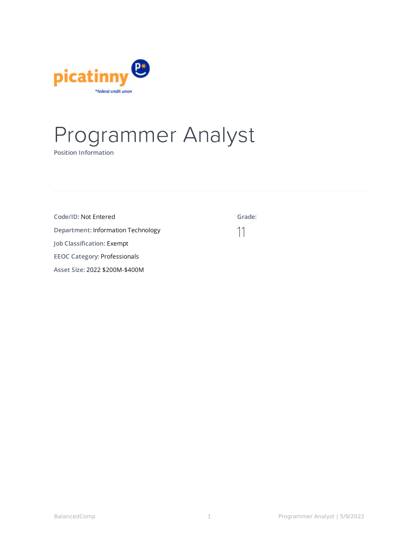

# Programmer Analyst

**Position Information**

| Code/ID: Not Entered                      | Grade: |
|-------------------------------------------|--------|
| <b>Department: Information Technology</b> |        |
| Job Classification: Exempt                |        |
| <b>EEOC Category: Professionals</b>       |        |
| Asset Size: 2022 \$200M-\$400M            |        |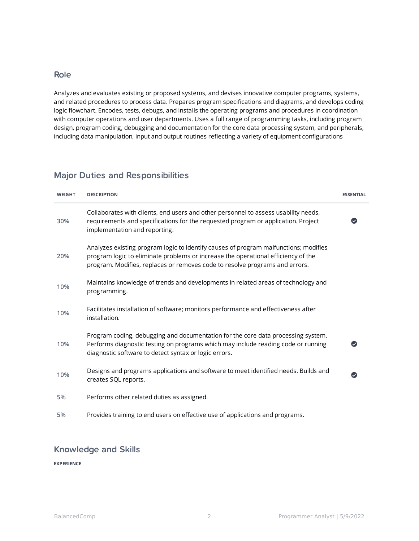### Role

Analyzes and evaluates existing or proposed systems, and devises innovative computer programs, systems, and related procedures to process data. Prepares program specifications and diagrams, and develops coding logic flowchart. Encodes, tests, debugs, and installs the operating programs and procedures in coordination with computer operations and user departments. Uses a full range of programming tasks, including program design, program coding, debugging and documentation for the core data processing system, and peripherals, including data manipulation, input and output routines reflecting a variety of equipment configurations

## Major Duties and Responsibilities

| <b>WEIGHT</b> | <b>DESCRIPTION</b>                                                                                                                                                                                                                                       | <b>ESSENTIAL</b>     |
|---------------|----------------------------------------------------------------------------------------------------------------------------------------------------------------------------------------------------------------------------------------------------------|----------------------|
| 30%           | Collaborates with clients, end users and other personnel to assess usability needs,<br>requirements and specifications for the requested program or application. Project<br>implementation and reporting.                                                |                      |
| 20%           | Analyzes existing program logic to identify causes of program malfunctions; modifies<br>program logic to eliminate problems or increase the operational efficiency of the<br>program. Modifies, replaces or removes code to resolve programs and errors. |                      |
| 10%           | Maintains knowledge of trends and developments in related areas of technology and<br>programming.                                                                                                                                                        |                      |
| 10%           | Facilitates installation of software; monitors performance and effectiveness after<br>installation.                                                                                                                                                      |                      |
| 10%           | Program coding, debugging and documentation for the core data processing system.<br>Performs diagnostic testing on programs which may include reading code or running<br>diagnostic software to detect syntax or logic errors.                           | $\blacktriangledown$ |
| 10%           | Designs and programs applications and software to meet identified needs. Builds and<br>creates SQL reports.                                                                                                                                              |                      |
| 5%            | Performs other related duties as assigned.                                                                                                                                                                                                               |                      |
| 5%            | Provides training to end users on effective use of applications and programs.                                                                                                                                                                            |                      |

## Knowledge and Skills

**EXPERIENCE**